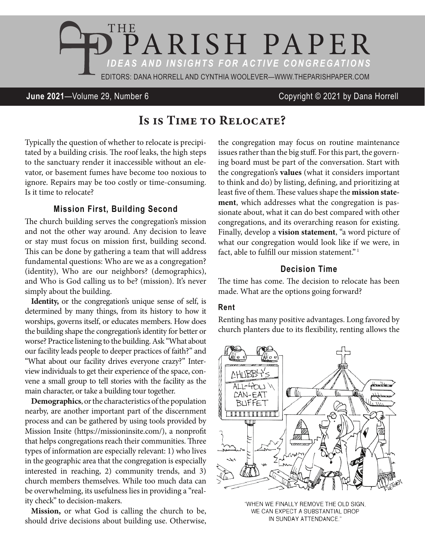

## **June 2021**—Volume 29, Number 6 Copyright © 2021 by Dana Horrell

# Is is Time to Relocate?

Typically the question of whether to relocate is precipitated by a building crisis. The roof leaks, the high steps to the sanctuary render it inaccessible without an elevator, or basement fumes have become too noxious to ignore. Repairs may be too costly or time-consuming. Is it time to relocate?

### **Mission First, Building Second**

The church building serves the congregation's mission and not the other way around. Any decision to leave or stay must focus on mission first, building second. This can be done by gathering a team that will address fundamental questions: Who are we as a congregation? (identity), Who are our neighbors? (demographics), and Who is God calling us to be? (mission). It's never simply about the building.

**Identity,** or the congregation's unique sense of self, is determined by many things, from its history to how it worships, governs itself, or educates members. How does the building shape the congregation's identity for better or worse? Practice listening to the building. Ask "What about our facility leads people to deeper practices of faith?" and "What about our facility drives everyone crazy?" Interview individuals to get their experience of the space, convene a small group to tell stories with the facility as the main character, or take a building tour together.

**Demographics**, or the characteristics of the population nearby, are another important part of the discernment process and can be gathered by using tools provided by Mission Insite (https://missioninsite.com/), a nonprofit that helps congregations reach their communities. Three types of information are especially relevant: 1) who lives in the geographic area that the congregation is especially interested in reaching, 2) community trends, and 3) church members themselves. While too much data can be overwhelming, its usefulness lies in providing a "reality check" to decision-makers.

**Mission,** or what God is calling the church to be, should drive decisions about building use. Otherwise,

the congregation may focus on routine maintenance issues rather than the big stuff. For this part, the governing board must be part of the conversation. Start with the congregation's **values** (what it considers important to think and do) by listing, defining, and prioritizing at least five of them. These values shape the **mission statement**, which addresses what the congregation is passionate about, what it can do best compared with other congregations, and its overarching reason for existing. Finally, develop a **vision statement**, "a word picture of what our congregation would look like if we were, in fact, able to fulfill our mission statement"<sup>1</sup>

## **Decision Time**

The time has come. The decision to relocate has been made. What are the options going forward?

#### **Rent**

Renting has many positive advantages. Long favored by church planters due to its flexibility, renting allows the



"WHEN WE FINALLY REMOVE THE OLD SIGN, WE CAN EXPECT A SUBSTANTIAL DROP IN SUNDAY ATTENDANCE."